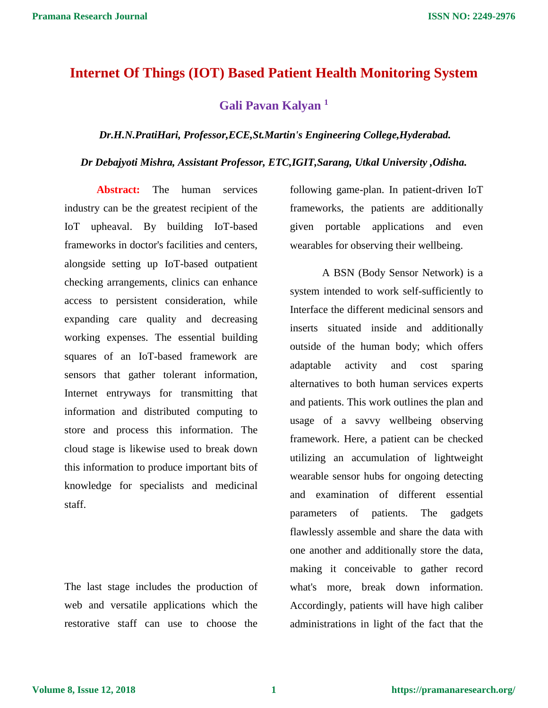# **Internet Of Things (IOT) Based Patient Health Monitoring System**

**Gali Pavan Kalyan <sup>1</sup>**

### *Dr.H.N.PratiHari, Professor,ECE,St.Martin's Engineering College,Hyderabad.*

*Dr Debajyoti Mishra, Assistant Professor, ETC,IGIT,Sarang, Utkal University ,Odisha.*

**Abstract:** The human services industry can be the greatest recipient of the IoT upheaval. By building IoT-based frameworks in doctor's facilities and centers, alongside setting up IoT-based outpatient checking arrangements, clinics can enhance access to persistent consideration, while expanding care quality and decreasing working expenses. The essential building squares of an IoT-based framework are sensors that gather tolerant information, Internet entryways for transmitting that information and distributed computing to store and process this information. The cloud stage is likewise used to break down this information to produce important bits of knowledge for specialists and medicinal staff.

The last stage includes the production of web and versatile applications which the restorative staff can use to choose the

following game-plan. In patient-driven IoT frameworks, the patients are additionally given portable applications and even wearables for observing their wellbeing.

A BSN (Body Sensor Network) is a system intended to work self-sufficiently to Interface the different medicinal sensors and inserts situated inside and additionally outside of the human body; which offers adaptable activity and cost sparing alternatives to both human services experts and patients. This work outlines the plan and usage of a savvy wellbeing observing framework. Here, a patient can be checked utilizing an accumulation of lightweight wearable sensor hubs for ongoing detecting and examination of different essential parameters of patients. The gadgets flawlessly assemble and share the data with one another and additionally store the data, making it conceivable to gather record what's more, break down information. Accordingly, patients will have high caliber administrations in light of the fact that the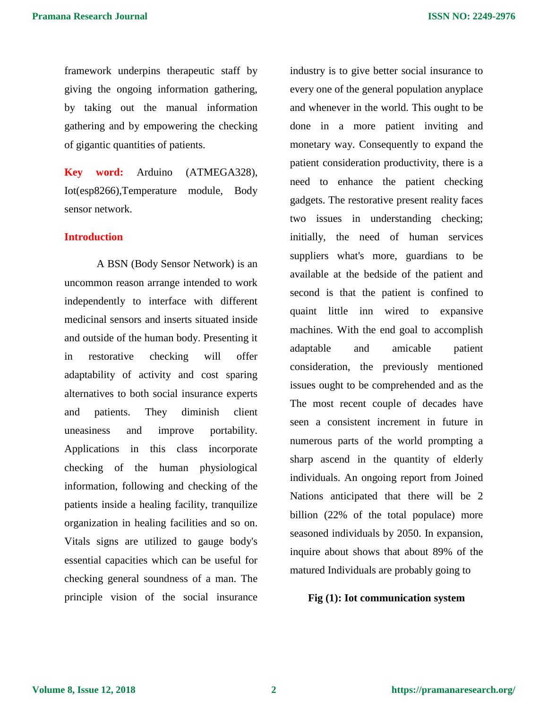framework underpins therapeutic staff by giving the ongoing information gathering, by taking out the manual information gathering and by empowering the checking of gigantic quantities of patients.

**Key word:** Arduino (ATMEGA328), Iot(esp8266),Temperature module, Body sensor network.

# **Introduction**

A BSN (Body Sensor Network) is an uncommon reason arrange intended to work independently to interface with different medicinal sensors and inserts situated inside and outside of the human body. Presenting it in restorative checking will offer adaptability of activity and cost sparing alternatives to both social insurance experts and patients. They diminish client uneasiness and improve portability. Applications in this class incorporate checking of the human physiological information, following and checking of the patients inside a healing facility, tranquilize organization in healing facilities and so on. Vitals signs are utilized to gauge body's essential capacities which can be useful for checking general soundness of a man. The principle vision of the social insurance

industry is to give better social insurance to every one of the general population anyplace and whenever in the world. This ought to be done in a more patient inviting and monetary way. Consequently to expand the patient consideration productivity, there is a need to enhance the patient checking gadgets. The restorative present reality faces two issues in understanding checking; initially, the need of human services suppliers what's more, guardians to be available at the bedside of the patient and second is that the patient is confined to quaint little inn wired to expansive machines. With the end goal to accomplish adaptable and amicable patient consideration, the previously mentioned issues ought to be comprehended and as the The most recent couple of decades have seen a consistent increment in future in numerous parts of the world prompting a sharp ascend in the quantity of elderly individuals. An ongoing report from Joined Nations anticipated that there will be 2 billion (22% of the total populace) more seasoned individuals by 2050. In expansion, inquire about shows that about 89% of the matured Individuals are probably going to

## **Fig (1): Iot communication system**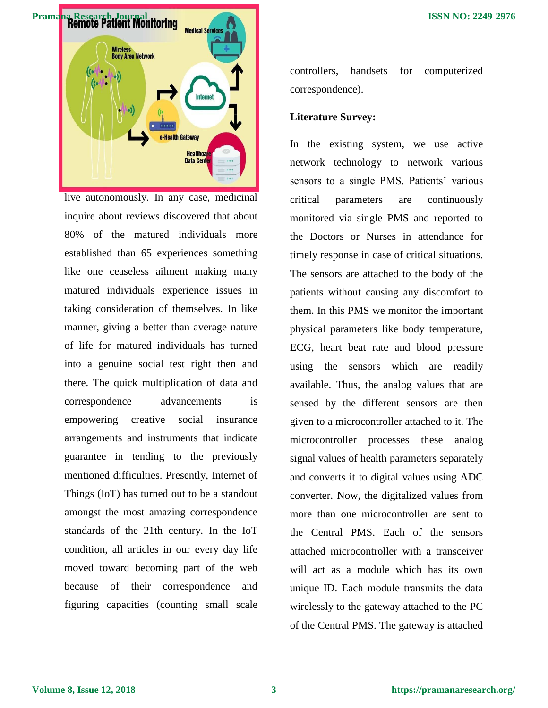

live autonomously. In any case, medicinal inquire about reviews discovered that about 80% of the matured individuals more established than 65 experiences something like one ceaseless ailment making many matured individuals experience issues in taking consideration of themselves. In like manner, giving a better than average nature of life for matured individuals has turned into a genuine social test right then and there. The quick multiplication of data and correspondence advancements is empowering creative social insurance arrangements and instruments that indicate guarantee in tending to the previously mentioned difficulties. Presently, Internet of Things (IoT) has turned out to be a standout amongst the most amazing correspondence standards of the 21th century. In the IoT condition, all articles in our every day life moved toward becoming part of the web because of their correspondence and figuring capacities (counting small scale

controllers, handsets for computerized correspondence).

# **Literature Survey:**

In the existing system, we use active network technology to network various sensors to a single PMS. Patients' various critical parameters are continuously monitored via single PMS and reported to the Doctors or Nurses in attendance for timely response in case of critical situations. The sensors are attached to the body of the patients without causing any discomfort to them. In this PMS we monitor the important physical parameters like body temperature, ECG, heart beat rate and blood pressure using the sensors which are readily available. Thus, the analog values that are sensed by the different sensors are then given to a microcontroller attached to it. The microcontroller processes these analog signal values of health parameters separately and converts it to digital values using ADC converter. Now, the digitalized values from more than one microcontroller are sent to the Central PMS. Each of the sensors attached microcontroller with a transceiver will act as a module which has its own unique ID. Each module transmits the data wirelessly to the gateway attached to the PC of the Central PMS. The gateway is attached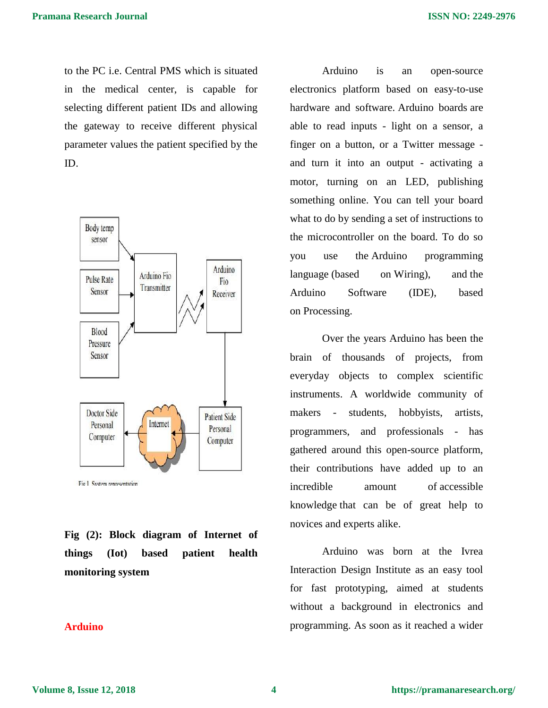to the PC i.e. Central PMS which is situated in the medical center, is capable for selecting different patient IDs and allowing the gateway to receive different physical parameter values the patient specified by the ID.



Fig.1 System representation

**Fig (2): Block diagram of Internet of things (Iot) based patient health monitoring system**

# **Arduino**

Arduino is an open-source electronics platform based on easy-to-use hardware and software. [Arduino boards](https://www.arduino.cc/en/Main/Products) are able to read inputs - light on a sensor, a finger on a button, or a Twitter message and turn it into an output - activating a motor, turning on an LED, publishing something online. You can tell your board what to do by sending a set of instructions to the microcontroller on the board. To do so you use the [Arduino programming](https://www.arduino.cc/en/Reference/HomePage)  [language](https://www.arduino.cc/en/Reference/HomePage) (based on [Wiring\)](http://wiring.org.co/), and [the](https://www.arduino.cc/en/Main/Software)  [Arduino Software \(IDE\),](https://www.arduino.cc/en/Main/Software) based on [Processing.](https://processing.org/)

Over the years Arduino has been the brain of thousands of projects, from everyday objects to complex scientific instruments. A worldwide community of makers - students, hobbyists, artists, programmers, and professionals - has gathered around this open-source platform, their contributions have added up to an incredible amount of [accessible](http://forum.arduino.cc/)  [knowledge](http://forum.arduino.cc/) that can be of great help to novices and experts alike.

Arduino was born at the Ivrea Interaction Design Institute as an easy tool for fast prototyping, aimed at students without a background in electronics and programming. As soon as it reached a wider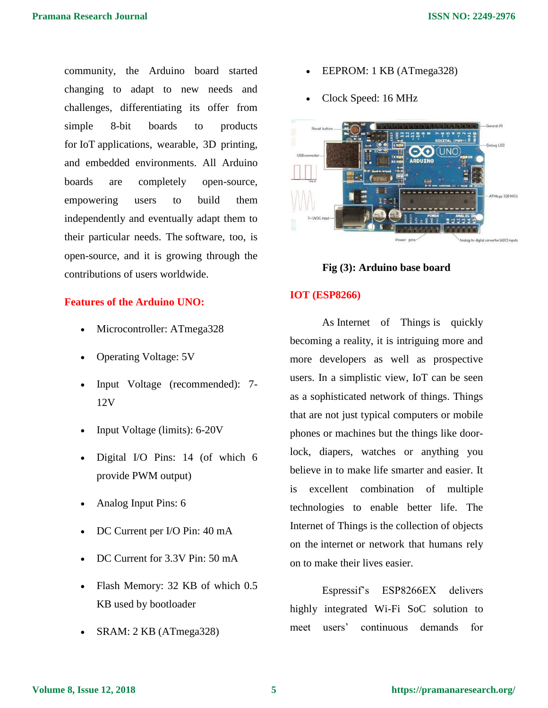community, the Arduino board started changing to adapt to new needs and challenges, differentiating its offer from simple 8-bit boards to products for IoT applications, wearable, 3D printing, and embedded environments. All Arduino boards are completely open-source, empowering users to build them independently and eventually adapt them to their particular needs. The [software,](https://www.arduino.cc/en/Main/Software) too, is open-source, and it is growing through the contributions of users worldwide.

# **Features of the Arduino UNO:**

- Microcontroller: ATmega328
- Operating Voltage: 5V
- Input Voltage (recommended): 7- 12V
- Input Voltage (limits): 6-20V
- Digital I/O Pins: 14 (of which 6 provide PWM output)
- Analog Input Pins: 6
- DC Current per I/O Pin: 40 mA
- DC Current for 3.3V Pin: 50 mA
- Flash Memory: 32 KB of which 0.5 KB used by bootloader
- SRAM: 2 KB (ATmega328)
- EEPROM: 1 KB (ATmega328)
- Clock Speed: 16 MHz



# **Fig (3): Arduino base board**

### **IOT (ESP8266)**

As Internet of Things is quickly becoming a reality, it is intriguing more and more developers as well as prospective users. In a simplistic view, IoT can be seen as a sophisticated network of things. Things that are not just typical computers or mobile phones or machines but the things like doorlock, diapers, watches or anything you believe in to make life smarter and easier. It is excellent combination of multiple technologies to enable better life. The Internet of Things is the collection of objects on the [internet](http://www.engineersgarage.com/articles/what-is-internet-history-working) or network that humans rely on to make their lives easier.

Espressif's ESP8266EX delivers highly integrated Wi-Fi SoC solution to meet users' continuous demands for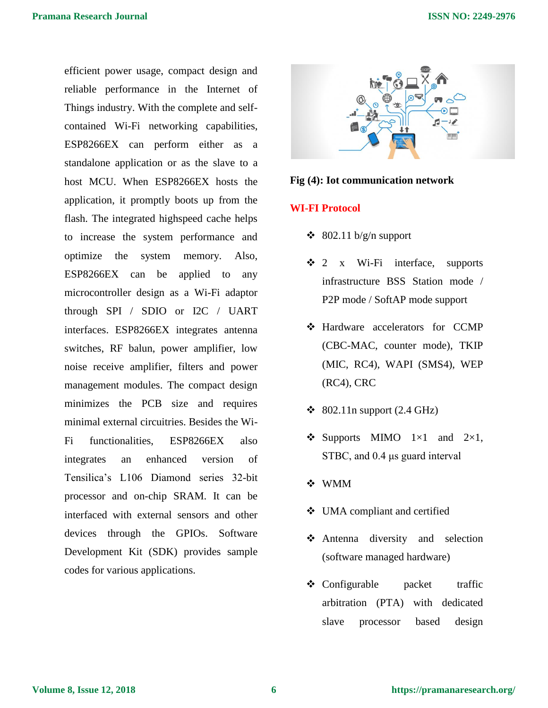efficient power usage, compact design and reliable performance in the Internet of Things industry. With the complete and selfcontained Wi-Fi networking capabilities, ESP8266EX can perform either as a standalone application or as the slave to a host MCU. When ESP8266EX hosts the application, it promptly boots up from the flash. The integrated highspeed cache helps to increase the system performance and optimize the system memory. Also, ESP8266EX can be applied to any microcontroller design as a Wi-Fi adaptor through SPI / SDIO or I2C / UART interfaces. ESP8266EX integrates antenna switches, RF balun, power amplifier, low noise receive amplifier, filters and power management modules. The compact design minimizes the PCB size and requires minimal external circuitries. Besides the Wi-Fi functionalities, ESP8266EX also integrates an enhanced version of Tensilica's L106 Diamond series 32-bit processor and on-chip SRAM. It can be interfaced with external sensors and other devices through the GPIOs. Software Development Kit (SDK) provides sample codes for various applications.



#### Fig (4): Iot communication network

### **WI-FI Protocol**

- $\div$  802.11 b/g/n support
- $\div$  2 x Wi-Fi interface, supports infrastructure BSS Station mode / P2P mode / SoftAP mode support
- Hardware accelerators for CCMP (CBC-MAC, counter mode), TKIP (MIC, RC4), WAPI (SMS4), WEP (RC4), CRC
- $\div$  802.11n support (2.4 GHz)
- $\bullet$  Supports MIMO 1×1 and 2×1, STBC, and 0.4 μs guard interval
- WMM
- UMA compliant and certified
- Antenna diversity and selection (software managed hardware)
- Configurable packet traffic arbitration (PTA) with dedicated slave processor based design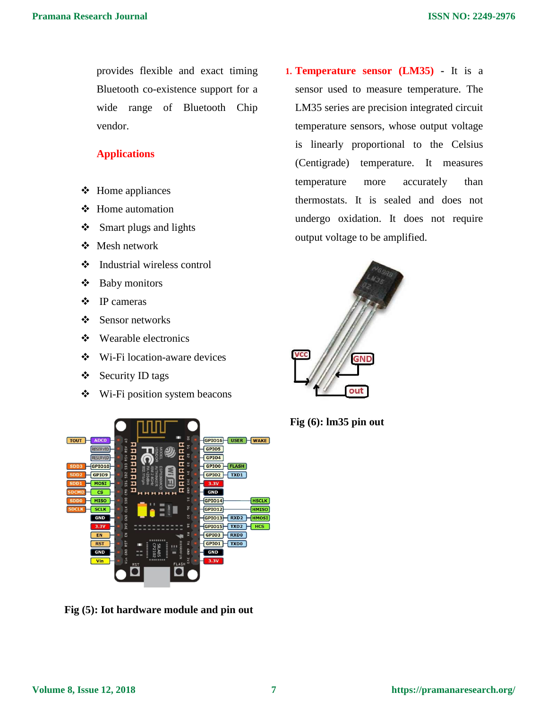provides flexible and exact timing Bluetooth co-existence support for a wide range of Bluetooth Chip vendor.

# **Applications**

- $\div$  Home appliances
- ❖ Home automation
- $\div$  Smart plugs and lights
- Mesh network
- Industrial wireless control
- Baby monitors
- ❖ IP cameras
- ❖ Sensor networks
- Wearable electronics
- Wi-Fi location-aware devices
- $\div$  Security ID tags
- Wi-Fi position system beacons



**Fig (5): Iot hardware module and pin out** 

**1. Temperature sensor (LM35) -** It is a sensor used to measure temperature. The LM35 series are precision integrated circuit temperature sensors, whose output voltage is linearly proportional to the Celsius (Centigrade) temperature. It measures temperature more accurately than thermostats. It is sealed and does not undergo oxidation. It does not require output voltage to be amplified.



**Fig (6): lm35 pin out**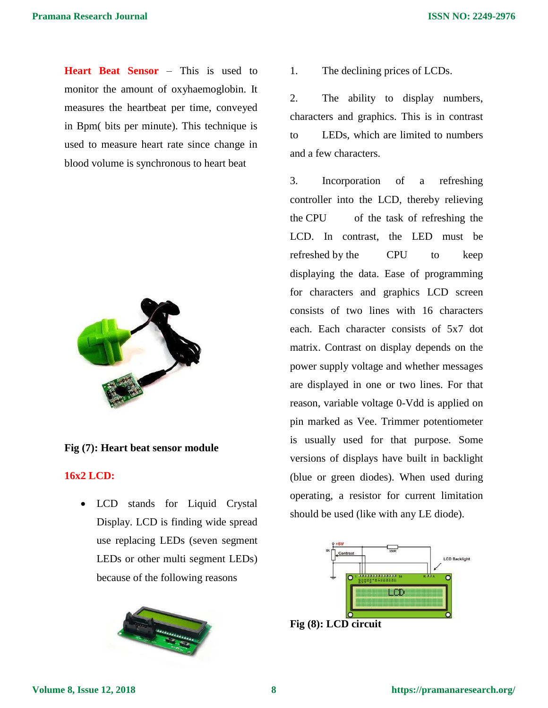**Heart Beat Sensor** – This is used to monitor the amount of oxyhaemoglobin. It measures the heartbeat per time, conveyed in Bpm( bits per minute). This technique is used to measure heart rate since change in blood volume is synchronous to heart beat



# **Fig (7): Heart beat sensor module**

# **16x2 LCD:**

• LCD stands for Liquid Crystal Display. LCD is finding wide spread use replacing LEDs (seven segment LEDs or other multi segment LEDs) because of the following reasons



1. The declining prices of LCDs.

2. The ability to display numbers, characters and graphics. This is in contrast to LEDs, which are limited to numbers and a few characters.

3. Incorporation of a refreshing controller into the LCD, thereby relieving the CPU of the task of refreshing the LCD. In contrast, the LED must be refreshed by the CPU to keep displaying the data. Ease of programming for characters and graphics LCD screen consists of two lines with 16 characters each. Each character consists of 5x7 dot matrix. Contrast on display depends on the power supply voltage and whether messages are displayed in one or two lines. For that reason, variable voltage 0-Vdd is applied on pin marked as Vee. Trimmer potentiometer is usually used for that purpose. Some versions of displays have built in backlight (blue or green diodes). When used during operating, a resistor for current limitation should be used (like with any LE diode).



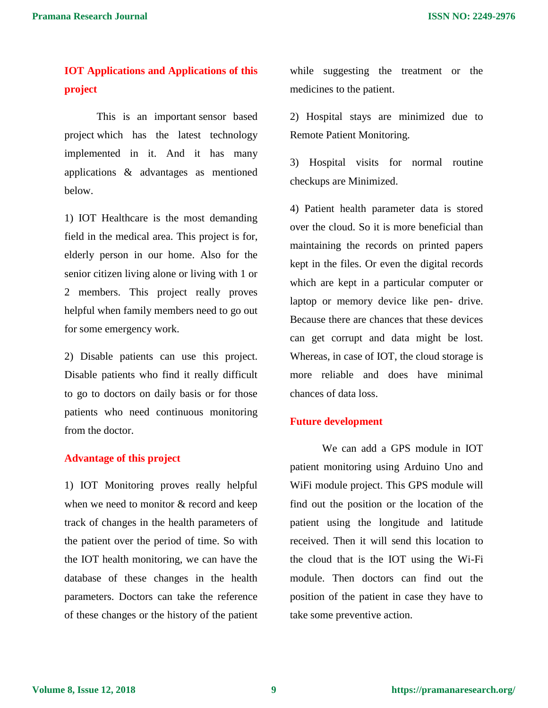# **IOT Applications and Applications of this project**

This is an important [sensor based](https://www.projectsof8051.com/sensor-based-projects/)  [project](https://www.projectsof8051.com/sensor-based-projects/) which has the latest technology implemented in it. And it has many applications & advantages as mentioned below.

1) IOT Healthcare is the most demanding field in the medical area. This project is for, elderly person in our home. Also for the senior citizen living alone or living with 1 or 2 members. This project really proves helpful when family members need to go out for some emergency work.

2) Disable patients can use this project. Disable patients who find it really difficult to go to doctors on daily basis or for those patients who need continuous monitoring from the doctor.

# **Advantage of this project**

1) IOT Monitoring proves really helpful when we need to monitor & record and keep track of changes in the health parameters of the patient over the period of time. So with the IOT health monitoring, we can have the database of these changes in the health parameters. Doctors can take the reference of these changes or the history of the patient while suggesting the treatment or the medicines to the patient.

2) Hospital stays are minimized due to Remote Patient Monitoring.

3) Hospital visits for normal routine checkups are Minimized.

4) Patient health parameter data is stored over the cloud. So it is more beneficial than maintaining the records on printed papers kept in the files. Or even the digital records which are kept in a particular computer or laptop or memory device like pen- drive. Because there are chances that these devices can get corrupt and data might be lost. Whereas, in case of IOT, the cloud storage is more reliable and does have minimal chances of data loss.

# **Future development**

We can add a GPS module in IOT patient monitoring using Arduino Uno and WiFi module project. This GPS module will find out the position or the location of the patient using the longitude and latitude received. Then it will send this location to the cloud that is the IOT using the Wi-Fi module. Then doctors can find out the position of the patient in case they have to take some preventive action.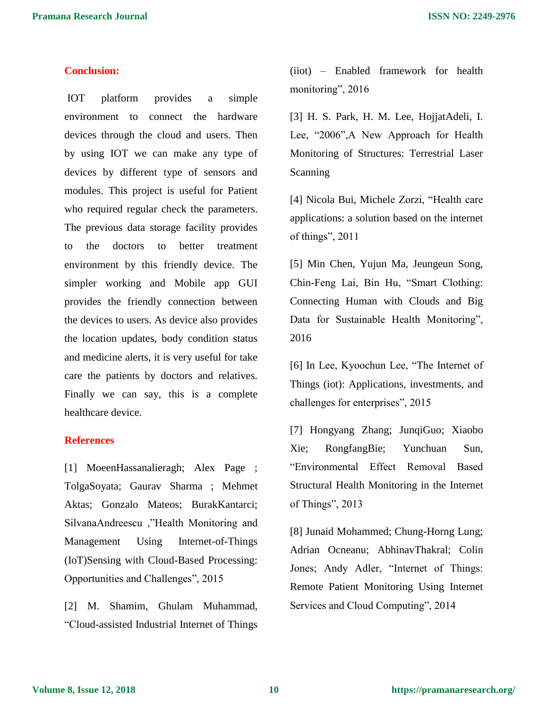# **Conclusion:**

IOT platform provides a simple environment to connect the hardware devices through the cloud and users. Then by using IOT we can make any type of devices by different type of sensors and modules. This project is useful for Patient who required regular check the parameters. The previous data storage facility provides to the doctors to better treatment environment by this friendly device. The simpler working and Mobile app GUI provides the friendly connection between the devices to users. As device also provides the location updates, body condition status and medicine alerts, it is very useful for take care the patients by doctors and relatives. Finally we can say, this is a complete healthcare device.

# **References**

[1] MoeenHassanalieragh; Alex Page ; TolgaSoyata; Gaurav Sharma ; Mehmet Aktas; Gonzalo Mateos; BurakKantarci; SilvanaAndreescu ,"Health Monitoring and Management Using Internet-of-Things (IoT)Sensing with Cloud-Based Processing: Opportunities and Challenges", 2015

[2] M. Shamim, Ghulam Muhammad, "Cloud-assisted Industrial Internet of Things (iiot) – Enabled framework for health monitoring", 2016

[3] H. S. Park, H. M. Lee, HojjatAdeli, I. Lee, "2006",A New Approach for Health Monitoring of Structures: Terrestrial Laser Scanning

[4] Nicola Bui, Michele Zorzi, "Health care applications: a solution based on the internet of things", 2011

[5] Min Chen, Yujun Ma, Jeungeun Song, Chin-Feng Lai, Bin Hu, "Smart Clothing: Connecting Human with Clouds and Big Data for Sustainable Health Monitoring", 2016

[6] In Lee, Kyoochun Lee, "The Internet of Things (iot): Applications, investments, and challenges for enterprises", 2015

[7] Hongyang Zhang; JunqiGuo; Xiaobo Xie; RongfangBie; Yunchuan Sun, "Environmental Effect Removal Based Structural Health Monitoring in the Internet of Things", 2013

[8] Junaid Mohammed; Chung-Horng Lung; Adrian Ocneanu; AbhinavThakral; Colin Jones; Andy Adler, "Internet of Things: Remote Patient Monitoring Using Internet Services and Cloud Computing", 2014